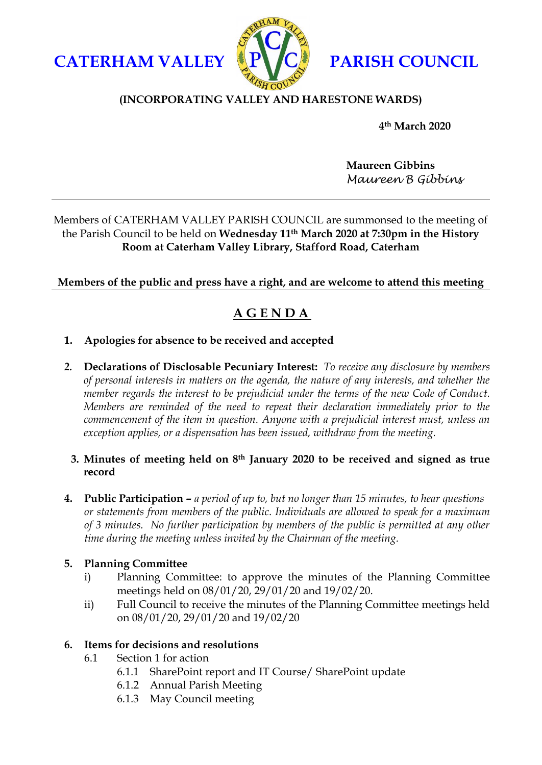**CATERHAM VALLEY PARISH COUNCIL** 



## **(INCORPORATING VALLEY AND HARESTONE WARDS)**

**4th March 2020** 

**Maureen Gibbins** *Maureen B Gibbins*

## Members of CATERHAM VALLEY PARISH COUNCIL are summonsed to the meeting of the Parish Council to be held on **Wednesday 11th March 2020 at 7:30pm in the History Room at Caterham Valley Library, Stafford Road, Caterham**

## **Members of the public and press have a right, and are welcome to attend this meeting**

# **A G E N D A**

- **1. Apologies for absence to be received and accepted**
- *2.* **Declarations of Disclosable Pecuniary Interest:** *To receive any disclosure by members of personal interests in matters on the agenda, the nature of any interests, and whether the member regards the interest to be prejudicial under the terms of the new Code of Conduct. Members are reminded of the need to repeat their declaration immediately prior to the commencement of the item in question. Anyone with a prejudicial interest must, unless an exception applies, or a dispensation has been issued, withdraw from the meeting.*

## **3. Minutes of meeting held on 8th January 2020 to be received and signed as true record**

**4. Public Participation –** *a period of up to, but no longer than 15 minutes, to hear questions or statements from members of the public. Individuals are allowed to speak for a maximum of 3 minutes. No further participation by members of the public is permitted at any other time during the meeting unless invited by the Chairman of the meeting.*

## **5. Planning Committee**

- i) Planning Committee: to approve the minutes of the Planning Committee meetings held on 08/01/20, 29/01/20 and 19/02/20.
- ii) Full Council to receive the minutes of the Planning Committee meetings held on 08/01/20, 29/01/20 and 19/02/20

## **6. Items for decisions and resolutions**

- 6.1 Section 1 for action
	- 6.1.1 SharePoint report and IT Course/ SharePoint update
	- 6.1.2 Annual Parish Meeting
	- 6.1.3 May Council meeting